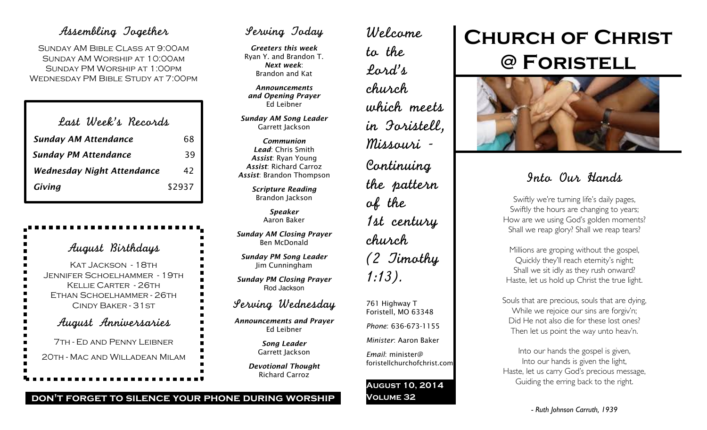## Assembling Together

Sunday AM Bible Class at 9:00am Sunday AM Worship at 10:00am Sunday PM Worship at 1:00pm Wednesday PM Bible Study at 7:00pm

| Last Week's Records               |        |
|-----------------------------------|--------|
| <b>Sunday AM Attendance</b>       | 68     |
| <b>Sunday PM Attendance</b>       | 39     |
| <b>Wednesday Night Attendance</b> | 42     |
| Giving                            | \$2937 |

August Birthdays KAT JACKSON - 18TH Jennifer Schoelhammer - 19th Kellie Carter - 26th Ethan Schoelhammer - 26th Cindy Baker - 31st August Anniversaries 7th - Ed and Penny Leibner 20th - Mac and Willadean Milam

# Serving Today

*Greeters this week* Ryan Y. and Brandon T. *Next week*: Brandon and Kat

*Announcements and Opening Prayer* Ed Leibner

*Sunday AM Song Leader* Garrett Jackson

*Communion Lead*: Chris Smith *Assist*: Ryan Young *Assist*: Richard Carroz *Assist*: Brandon Thompson

> *Scripture Reading* Brandon Jackson

> > *Speaker* Aaron Baker

*Sunday AM Closing Prayer* Ben McDonald

*Sunday PM Song Leader* Jim Cunningham

*Sunday PM Closing Prayer* Rod Jackson

### Serving Wednesday

*Announcements and Prayer* Ed Leibner

> *Song Leader* Garrett Jackson

*Devotional Thought* Richard Carroz

Welcome to the Lord's church which meets in Foristell, Missouri - Continuing the pattern of the 1st century church (2 Timothy 1:13). 761 Highway T

Foristell, MO 63348 *Phone*: 636-673-1155 *Minister*: Aaron Baker

*Email*: minister@ foristellchurchofchrist.com

### **August 10, 2014 Volume 32**

# **Church of Christ @ Foristell**



# Into Our Hands

Swiftly we're turning life's daily pages, Swiftly the hours are changing to years; How are we using God's golden moments? Shall we reap glory? Shall we reap tears?

Millions are groping without the gospel, Quickly they'll reach eternity's night; Shall we sit idly as they rush onward? Haste, let us hold up Christ the true light.

Souls that are precious, souls that are dying, While we rejoice our sins are forgiv'n; Did He not also die for these lost ones? Then let us point the way unto heav'n.

Into our hands the gospel is given, Into our hands is given the light, Haste, let us carry God's precious message, Guiding the erring back to the right.

**don't forget to silence your phone during worship**